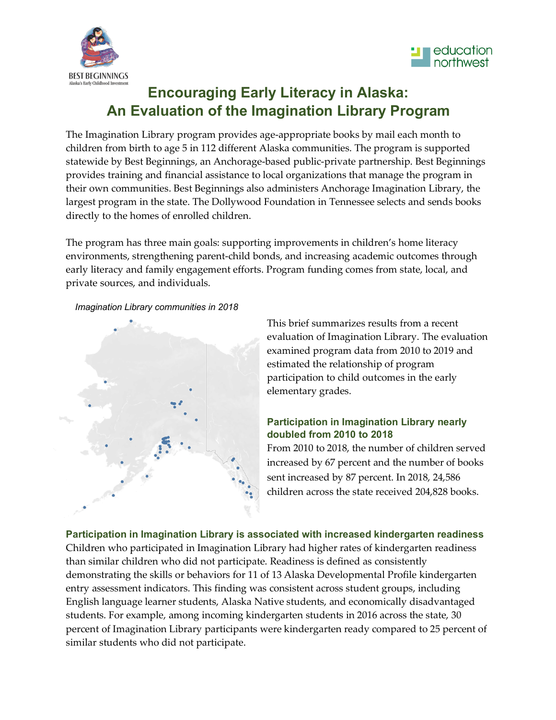



# **Encouraging Early Literacy in Alaska: An Evaluation of the Imagination Library Program**

The Imagination Library program provides age-appropriate books by mail each month to children from birth to age 5 in 112 different Alaska communities. The program is supported statewide by Best Beginnings, an Anchorage-based public-private partnership. Best Beginnings provides training and financial assistance to local organizations that manage the program in their own communities. Best Beginnings also administers Anchorage Imagination Library, the largest program in the state. The Dollywood Foundation in Tennessee selects and sends books directly to the homes of enrolled children.

The program has three main goals: supporting improvements in children's home literacy environments, strengthening parent-child bonds, and increasing academic outcomes through early literacy and family engagement efforts. Program funding comes from state, local, and private sources, and individuals.

*Imagination Library communities in 2018*



This brief summarizes results from a recent evaluation of Imagination Library. The evaluation examined program data from 2010 to 2019 and estimated the relationship of program participation to child outcomes in the early elementary grades.

## **Participation in Imagination Library nearly doubled from 2010 to 2018**

From 2010 to 2018, the number of children served increased by 67 percent and the number of books sent increased by 87 percent. In 2018, 24,586 children across the state received 204,828 books.

**Participation in Imagination Library is associated with increased kindergarten readiness** Children who participated in Imagination Library had higher rates of kindergarten readiness than similar children who did not participate. Readiness is defined as consistently demonstrating the skills or behaviors for 11 of 13 Alaska Developmental Profile kindergarten entry assessment indicators. This finding was consistent across student groups, including English language learner students, Alaska Native students, and economically disadvantaged students. For example, among incoming kindergarten students in 2016 across the state, 30 percent of Imagination Library participants were kindergarten ready compared to 25 percent of similar students who did not participate.